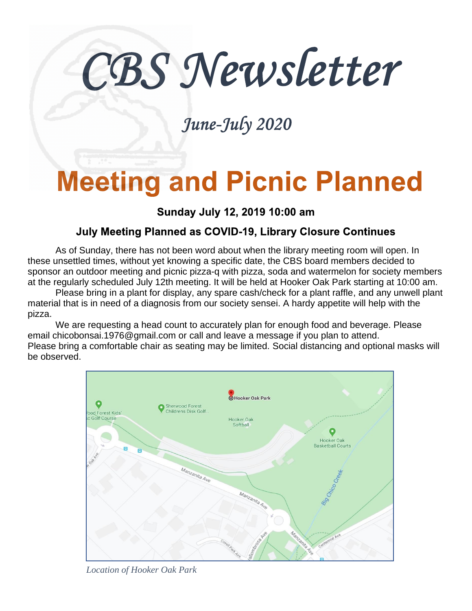# CBS Newsletter

### June-July 2020

## **Meeting and Picnic Planned**

#### Sunday July 12, 2019 10:00 am

#### **July Meeting Planned as COVID-19, Library Closure Continues**

As of Sunday, there has not been word about when the library meeting room will open. In these unsettled times, without yet knowing a specific date, the CBS board members decided to sponsor an outdoor meeting and picnic pizza-q with pizza, soda and watermelon for society members at the regularly scheduled July 12th meeting. It will be held at Hooker Oak Park starting at 10:00 am.

Please bring in a plant for display, any spare cash/check for a plant raffle, and any unwell plant material that is in need of a diagnosis from our society sensei. A hardy appetite will help with the pizza.

We are requesting a head count to accurately plan for enough food and beverage. Please email chicobonsai.1976@gmail.com or call and leave a message if you plan to attend. Please bring a comfortable chair as seating may be limited. Social distancing and optional masks will be observed.



*Location of Hooker Oak Park*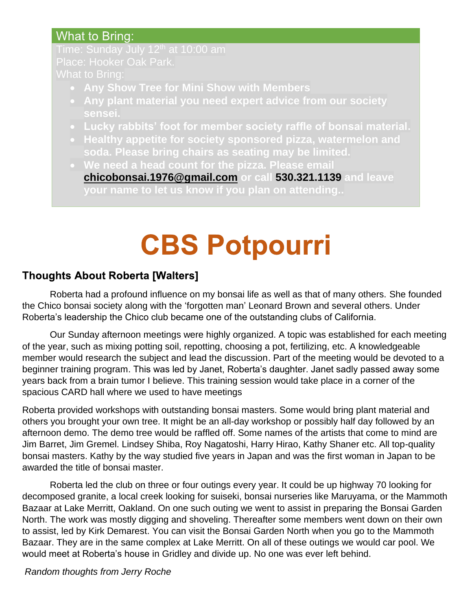#### What to Bring:

Time: Sunday July 12<sup>th</sup> at 10:00 am What to Bring:

- **Any Show Tree for Mini Show with Members**
- **Any plant material you need expert advice from our society sensei.**
- **Lucky rabbits' foot for member society raffle of bonsai material.**
- **Healthy appetite for society sponsored pizza, watermelon and soda. Please bring chairs as seating may be limited.**

• **We need a head count for the pizza. Please email [chicobonsai.1976@gmail.com](mailto:chicobonsai.1976@gmail.com) or call 530.321.1139 and leave your name to let us know if you plan on attending..** 

## **CBS Potpourri**

#### **Thoughts About Roberta [Walters]**

Roberta had a profound influence on my bonsai life as well as that of many others. She founded the Chico bonsai society along with the 'forgotten man' Leonard Brown and several others. Under Roberta's leadership the Chico club became one of the outstanding clubs of California.

Our Sunday afternoon meetings were highly organized. A topic was established for each meeting of the year, such as mixing potting soil, repotting, choosing a pot, fertilizing, etc. A knowledgeable member would research the subject and lead the discussion. Part of the meeting would be devoted to a beginner training program. This was led by Janet, Roberta's daughter. Janet sadly passed away some years back from a brain tumor I believe. This training session would take place in a corner of the spacious CARD hall where we used to have meetings

Roberta provided workshops with outstanding bonsai masters. Some would bring plant material and others you brought your own tree. It might be an all-day workshop or possibly half day followed by an afternoon demo. The demo tree would be raffled off. Some names of the artists that come to mind are Jim Barret, Jim Gremel. Lindsey Shiba, Roy Nagatoshi, Harry Hirao, Kathy Shaner etc. All top-quality bonsai masters. Kathy by the way studied five years in Japan and was the first woman in Japan to be awarded the title of bonsai master.

Roberta led the club on three or four outings every year. It could be up highway 70 looking for decomposed granite, a local creek looking for suiseki, bonsai nurseries like Maruyama, or the Mammoth Bazaar at Lake Merritt, Oakland. On one such outing we went to assist in preparing the Bonsai Garden North. The work was mostly digging and shoveling. Thereafter some members went down on their own to assist, led by Kirk Demarest. You can visit the Bonsai Garden North when you go to the Mammoth Bazaar. They are in the same complex at Lake Merritt. On all of these outings we would car pool. We would meet at Roberta's house in Gridley and divide up. No one was ever left behind.

*Random thoughts from Jerry Roche*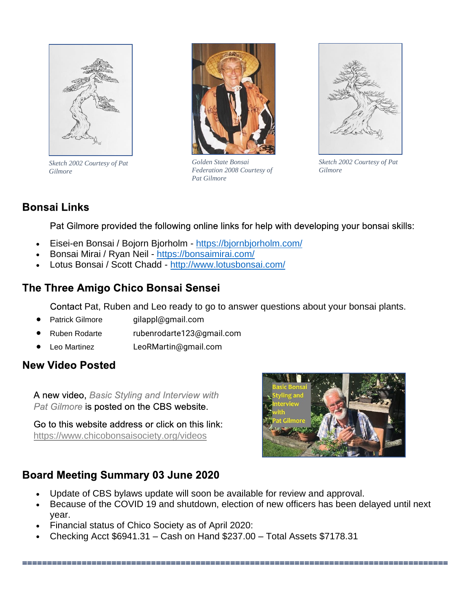

*Sketch 2002 Courtesy of Pat Gilmore*



*Golden State Bonsai Federation 2008 Courtesy of Pat Gilmore*



*Sketch 2002 Courtesy of Pat Gilmore*

#### **Bonsai Links**

Pat Gilmore provided the following online links for help with developing your bonsai skills:

- Eisei-en Bonsai / Bojorn Bjorholm <https://bjornbjorholm.com/>
- Bonsai Mirai / Ryan Neil <https://bonsaimirai.com/>
- Lotus Bonsai / Scott Chadd <http://www.lotusbonsai.com/>

#### The Three Amigo Chico Bonsai Sensei

Contact Pat, Ruben and Leo ready to go to answer questions about your bonsai plants.

- Patrick Gilmore gilappl@gmail.com
- Ruben Rodarte rubenrodarte123@gmail.com
- Leo Martinez LeoRMartin@gmail.com

#### **New Video Posted**

A new video, Basic Styling and Interview with Pat Gilmore is posted on the CBS website.

Go to this website address or click on this link: <https://www.chicobonsaisociety.org/videos>



#### **Board Meeting Summary 03 June 2020**

- Update of CBS bylaws update will soon be available for review and approval.
- Because of the COVID 19 and shutdown, election of new officers has been delayed until next year.

- Financial status of Chico Society as of April 2020:
- Checking Acct \$6941.31 Cash on Hand \$237.00 Total Assets \$7178.31